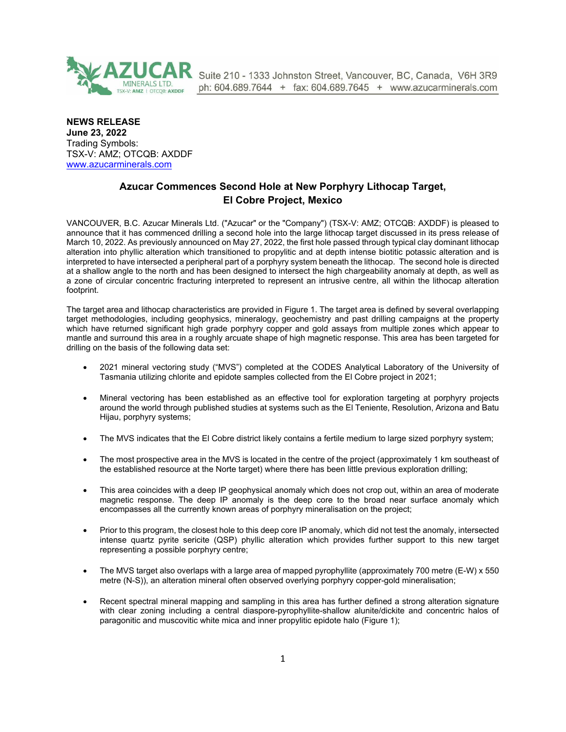

Suite 210 - 1333 Johnston Street, Vancouver, BC, Canada, V6H 3R9 ph: 604.689.7644 + fax: 604.689.7645 + www.azucarminerals.com

**NEWS RELEASE June 23, 2022** Trading Symbols: TSX-V: AMZ; OTCQB: AXDDF [www.azucarminerals.com](http://www.azucarminerals.com/)

# **Azucar Commences Second Hole at New Porphyry Lithocap Target, El Cobre Project, Mexico**

VANCOUVER, B.C. Azucar Minerals Ltd. ("Azucar" or the "Company") (TSX-V: AMZ; OTCQB: AXDDF) is pleased to announce that it has commenced drilling a second hole into the large lithocap target discussed in its press release of March 10, 2022. As previously announced on May 27, 2022, the first hole passed through typical clay dominant lithocap alteration into phyllic alteration which transitioned to propylitic and at depth intense biotitic potassic alteration and is interpreted to have intersected a peripheral part of a porphyry system beneath the lithocap. The second hole is directed at a shallow angle to the north and has been designed to intersect the high chargeability anomaly at depth, as well as a zone of circular concentric fracturing interpreted to represent an intrusive centre, all within the lithocap alteration footprint.

The target area and lithocap characteristics are provided in Figure 1. The target area is defined by several overlapping target methodologies, including geophysics, mineralogy, geochemistry and past drilling campaigns at the property which have returned significant high grade porphyry copper and gold assays from multiple zones which appear to mantle and surround this area in a roughly arcuate shape of high magnetic response. This area has been targeted for drilling on the basis of the following data set:

- 2021 mineral vectoring study ("MVS") completed at the CODES Analytical Laboratory of the University of Tasmania utilizing chlorite and epidote samples collected from the El Cobre project in 2021;
- Mineral vectoring has been established as an effective tool for exploration targeting at porphyry projects around the world through published studies at systems such as the El Teniente, Resolution, Arizona and Batu Hijau, porphyry systems;
- The MVS indicates that the El Cobre district likely contains a fertile medium to large sized porphyry system;
- The most prospective area in the MVS is located in the centre of the project (approximately 1 km southeast of the established resource at the Norte target) where there has been little previous exploration drilling;
- This area coincides with a deep IP geophysical anomaly which does not crop out, within an area of moderate magnetic response. The deep IP anomaly is the deep core to the broad near surface anomaly which encompasses all the currently known areas of porphyry mineralisation on the project;
- Prior to this program, the closest hole to this deep core IP anomaly, which did not test the anomaly, intersected intense quartz pyrite sericite (QSP) phyllic alteration which provides further support to this new target representing a possible porphyry centre;
- The MVS target also overlaps with a large area of mapped pyrophyllite (approximately 700 metre (E-W) x 550 metre (N-S)), an alteration mineral often observed overlying porphyry copper-gold mineralisation;
- Recent spectral mineral mapping and sampling in this area has further defined a strong alteration signature with clear zoning including a central diaspore-pyrophyllite-shallow alunite/dickite and concentric halos of paragonitic and muscovitic white mica and inner propylitic epidote halo (Figure 1);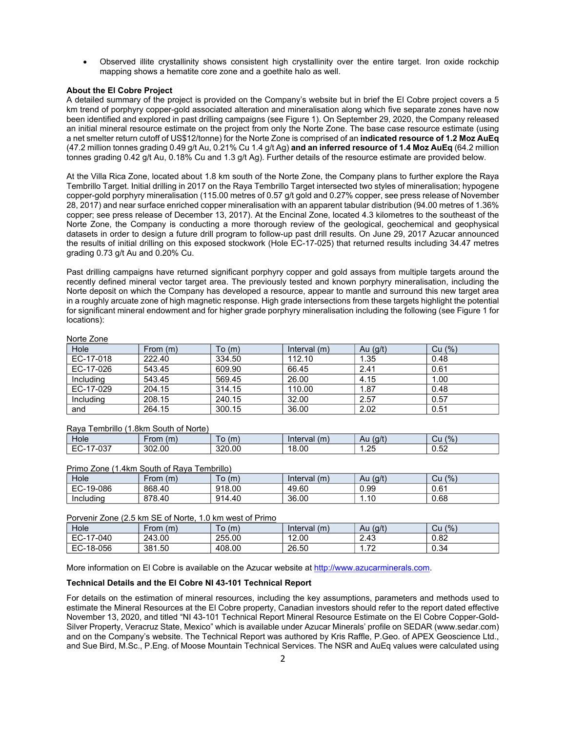Observed illite crystallinity shows consistent high crystallinity over the entire target. Iron oxide rockchip mapping shows a hematite core zone and a goethite halo as well.

### **About the El Cobre Project**

A detailed summary of the project is provided on the Company's website but in brief the El Cobre project covers a 5 km trend of porphyry copper-gold associated alteration and mineralisation along which five separate zones have now been identified and explored in past drilling campaigns (see Figure 1). On September 29, 2020, the Company released an initial mineral resource estimate on the project from only the Norte Zone. The base case resource estimate (using a net smelter return cutoff of US\$12/tonne) for the Norte Zone is comprised of an **indicated resource of 1.2 Moz AuEq** (47.2 million tonnes grading 0.49 g/t Au, 0.21% Cu 1.4 g/t Ag) **and an inferred resource of 1.4 Moz AuEq** (64.2 million tonnes grading 0.42 g/t Au, 0.18% Cu and 1.3 g/t Ag). Further details of the resource estimate are provided below.

At the Villa Rica Zone, located about 1.8 km south of the Norte Zone, the Company plans to further explore the Raya Tembrillo Target. Initial drilling in 2017 on the Raya Tembrillo Target intersected two styles of mineralisation; hypogene copper-gold porphyry mineralisation (115.00 metres of 0.57 g/t gold and 0.27% copper, see press release of November 28, 2017) and near surface enriched copper mineralisation with an apparent tabular distribution (94.00 metres of 1.36% copper; see press release of December 13, 2017). At the Encinal Zone, located 4.3 kilometres to the southeast of the Norte Zone, the Company is conducting a more thorough review of the geological, geochemical and geophysical datasets in order to design a future drill program to follow-up past drill results. On June 29, 2017 Azucar announced the results of initial drilling on this exposed stockwork (Hole EC-17-025) that returned results including 34.47 metres grading 0.73 g/t Au and 0.20% Cu.

Past drilling campaigns have returned significant porphyry copper and gold assays from multiple targets around the recently defined mineral vector target area. The previously tested and known porphyry mineralisation, including the Norte deposit on which the Company has developed a resource, appear to mantle and surround this new target area in a roughly arcuate zone of high magnetic response. High grade intersections from these targets highlight the potential for significant mineral endowment and for higher grade porphyry mineralisation including the following (see Figure 1 for locations):

#### Norte Zone

| Hole      | From (m) | To (m) | Interval $(m)$ | Au $(g/t)$ | Cu (%) |
|-----------|----------|--------|----------------|------------|--------|
| EC-17-018 | 222.40   | 334.50 | 112.10         | 1.35       | 0.48   |
| EC-17-026 | 543.45   | 609.90 | 66.45          | 2.41       | 0.61   |
| Including | 543.45   | 569.45 | 26.00          | 4.15       | 1.00   |
| EC-17-029 | 204.15   | 314.15 | 110.00         | 1.87       | 0.48   |
| Including | 208.15   | 240.15 | 32.00          | 2.57       | 0.57   |
| and       | 264.15   | 300.15 | 36.00          | 2.02       | 0.51   |

#### Raya Tembrillo (1.8km South of Norte)

| Hole                                   | (m)<br>∙rom | (m)    | (m)<br>nter<br>rval | (g/t)<br>Au | $(%^{6})^{1/2}$<br>υu                          |
|----------------------------------------|-------------|--------|---------------------|-------------|------------------------------------------------|
| <b>027</b><br>- 1<br>י כ∪- י<br>.<br>◡ | 302.00      | 320.00 | 18.00               | ົດຂ<br>ں ے. | r o<br>$\overline{\phantom{0}}$<br><b>U.JZ</b> |

#### Primo Zone (1.4km South of Raya Tembrillo)

| Hole      | -rom<br>(m) | ັo (m) | Interval<br>(m) | (g/t)<br>Au | (9/6)<br>Cu |
|-----------|-------------|--------|-----------------|-------------|-------------|
| EC-19-086 | 868.40      | 918.00 | 49.60           | 0.99        | 0.61        |
| Including | 878.40      | 914.40 | 36.00           | 10<br>I.IU  | 0.68        |

# Porvenir Zone (2.5 km SE of Norte, 1.0 km west of Primo

| Hole                                 | $-rom(m)$ | ັo (m) | Interval<br>(m) | (g/t)<br>Au              | (9/6)<br>Cu |
|--------------------------------------|-----------|--------|-----------------|--------------------------|-------------|
| $E$ C <sub>-17</sub><br>7-040<br>다니다 | 243.00    | 255.00 | 12.00           | 2.43                     | 0.82        |
| EC-18-056                            | 381.50    | 408.00 | 26.50           | $\overline{\phantom{a}}$ | 0.34        |

More information on El Cobre is available on the Azucar website at [http://www.azucarminerals.com](http://www.azucarminerals.com/).

#### **Technical Details and the El Cobre NI 43-101 Technical Report**

For details on the estimation of mineral resources, including the key assumptions, parameters and methods used to estimate the Mineral Resources at the El Cobre property, Canadian investors should refer to the report dated effective November 13, 2020, and titled "NI 43-101 Technical Report Mineral Resource Estimate on the El Cobre Copper-Gold-Silver Property, Veracruz State, Mexico" which is available under Azucar Minerals' profile on SEDAR ([www.sedar.com](https://www.globenewswire.com/Tracker?data=H97e7xp4OnnhH6KKINIULm1PmCrjO785f-crMi0jMOZv6JU_6JnToF5WG9MWBuyryHVo541vCuqmhSK4Le-I4g==)) and on the Company's website. The Technical Report was authored by Kris Raffle, P.Geo. of APEX Geoscience Ltd., and Sue Bird, M.Sc., P.Eng. of Moose Mountain Technical Services. The NSR and AuEq values were calculated using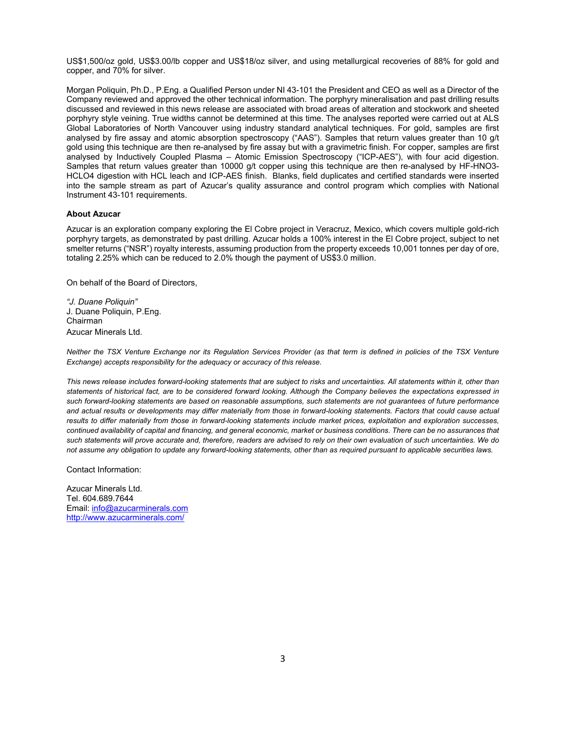US\$1,500/oz gold, US\$3.00/lb copper and US\$18/oz silver, and using metallurgical recoveries of 88% for gold and copper, and 70% for silver.

Morgan Poliquin, Ph.D., P.Eng. a Qualified Person under NI 43-101 the President and CEO as well as a Director of the Company reviewed and approved the other technical information. The porphyry mineralisation and past drilling results discussed and reviewed in this news release are associated with broad areas of alteration and stockwork and sheeted porphyry style veining. True widths cannot be determined at this time. The analyses reported were carried out at ALS Global Laboratories of North Vancouver using industry standard analytical techniques. For gold, samples are first analysed by fire assay and atomic absorption spectroscopy ("AAS"). Samples that return values greater than 10 g/t gold using this technique are then re-analysed by fire assay but with a gravimetric finish. For copper, samples are first analysed by Inductively Coupled Plasma – Atomic Emission Spectroscopy ("ICP-AES"), with four acid digestion. Samples that return values greater than 10000 g/t copper using this technique are then re-analysed by HF-HNO3- HCLO4 digestion with HCL leach and ICP-AES finish. Blanks, field duplicates and certified standards were inserted into the sample stream as part of Azucar's quality assurance and control program which complies with National Instrument 43-101 requirements.

## **About Azucar**

Azucar is an exploration company exploring the El Cobre project in Veracruz, Mexico, which covers multiple gold-rich porphyry targets, as demonstrated by past drilling. Azucar holds a 100% interest in the El Cobre project, subject to net smelter returns ("NSR") royalty interests, assuming production from the property exceeds 10,001 tonnes per day of ore, totaling 2.25% which can be reduced to 2.0% though the payment of US\$3.0 million.

On behalf of the Board of Directors,

*"J. Duane Poliquin"* J. Duane Poliquin, P.Eng. Chairman Azucar Minerals Ltd.

*Neither the TSX Venture Exchange nor its Regulation Services Provider (as that term is defined in policies of the TSX Venture Exchange) accepts responsibility for the adequacy or accuracy of this release.* 

*This news release includes forward-looking statements that are subject to risks and uncertainties. All statements within it, other than statements of historical fact, are to be considered forward looking. Although the Company believes the expectations expressed in such forward-looking statements are based on reasonable assumptions, such statements are not guarantees of future performance and actual results or developments may differ materially from those in forward-looking statements. Factors that could cause actual results to differ materially from those in forward-looking statements include market prices, exploitation and exploration successes, continued availability of capital and financing, and general economic, market or business conditions. There can be no assurances that such statements will prove accurate and, therefore, readers are advised to rely on their own evaluation of such uncertainties. We do not assume any obligation to update any forward-looking statements, other than as required pursuant to applicable securities laws.*

Contact Information:

Azucar Minerals Ltd. Tel. 604.689.7644 Email: [info@azucarminerals.com](mailto:info@azucarminerals.com) <http://www.azucarminerals.com/>